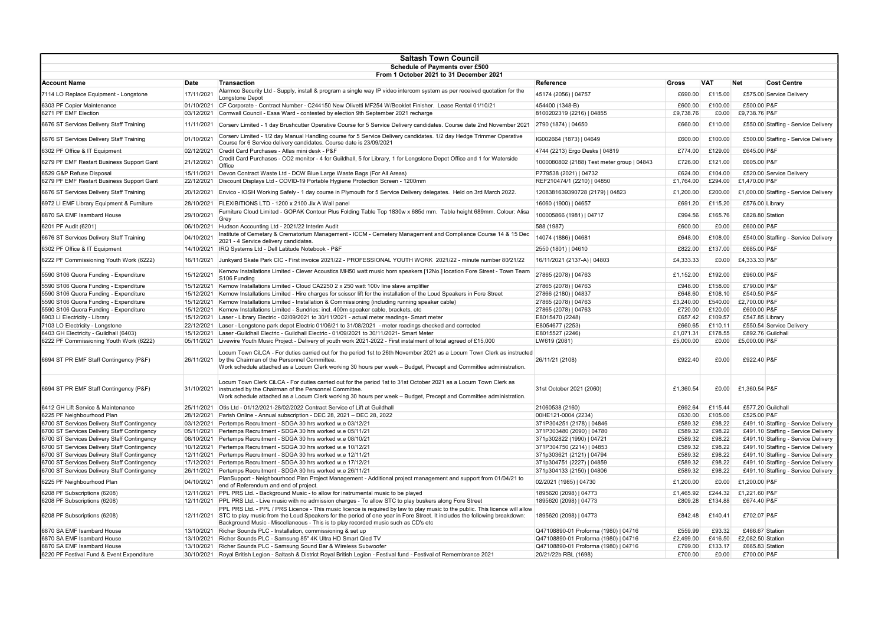| <b>Saltash Town Council</b>                 |             |                                                                                                                                                                                                                                                                                                                                                            |                                            |              |            |                                       |  |  |  |  |  |  |
|---------------------------------------------|-------------|------------------------------------------------------------------------------------------------------------------------------------------------------------------------------------------------------------------------------------------------------------------------------------------------------------------------------------------------------------|--------------------------------------------|--------------|------------|---------------------------------------|--|--|--|--|--|--|
|                                             |             | <b>Schedule of Payments over £500</b>                                                                                                                                                                                                                                                                                                                      |                                            |              |            |                                       |  |  |  |  |  |  |
|                                             |             | From 1 October 2021 to 31 December 2021                                                                                                                                                                                                                                                                                                                    |                                            |              |            |                                       |  |  |  |  |  |  |
| lAccount Name                               | <b>Date</b> | Transaction                                                                                                                                                                                                                                                                                                                                                | Reference                                  | <b>Gross</b> | <b>VAT</b> | <b>Cost Centre</b><br><b>Net</b>      |  |  |  |  |  |  |
| 7114 LO Replace Equipment - Longstone       | 17/11/2021  | Alarmco Security Ltd - Supply, install & program a single way IP video intercom system as per received quotation for the<br>Longstone Depot                                                                                                                                                                                                                | 45174 (2056)   04757                       | £690.00      | £115.00    | £575.00 Service Delivery              |  |  |  |  |  |  |
| 6303 PF Copier Maintenance                  | 01/10/2021  | CF Corporate - Contract Number - C244150 New Olivetti MF254 W/Booklet Finisher. Lease Rental 01/10/21                                                                                                                                                                                                                                                      | 454400 (1348-B)                            | £600.00      | £100.00    | £500.00 P&F                           |  |  |  |  |  |  |
| 6271 PF EMF Election                        | 03/12/2021  | Cornwall Council - Essa Ward - contested by election 9th September 2021 recharge                                                                                                                                                                                                                                                                           | 8100202319 (2216)   04855                  | £9,738.76    | £0.00      | £9,738.76 P&F                         |  |  |  |  |  |  |
| 6676 ST Services Delivery Staff Training    | 11/11/2021  | Corserv Limited - 1 day Brushcutter Operative Course for 5 Service Delivery candidates. Course date 2nd November 2021                                                                                                                                                                                                                                      | 2790 (1874)   04650                        | £660.00      | £110.00    | £550.00 Staffing - Service Delivery   |  |  |  |  |  |  |
| 6676 ST Services Delivery Staff Training    | 01/10/2021  | Corserv Limited - 1/2 day Manual Handling course for 5 Service Delivery candidates. 1/2 day Hedge Trimmer Operative<br>Course for 6 Service delivery candidates. Course date is 23/09/2021                                                                                                                                                                 | IG002664 (1873)   04649                    | £600.00      | £100.00    | £500.00 Staffing - Service Delivery   |  |  |  |  |  |  |
| 6302 PF Office & IT Equipment               | 02/12/2021  | Credit Card Purchases - Atlas mini desk - P&F                                                                                                                                                                                                                                                                                                              | 4744 (2213) Ergo Desks   04819             | £774.00      | £129.00    | £645.00 P&F                           |  |  |  |  |  |  |
| 6279 PF EMF Restart Business Support Gant   | 21/12/2021  | Credit Card Purchases - CO2 monitor - 4 for Guildhall, 5 for Library, 1 for Longstone Depot Office and 1 for Waterside<br>Office                                                                                                                                                                                                                           | 1000080802 (2188) Test meter group   04843 | £726.00      | £121.00    | £605.00 P&F                           |  |  |  |  |  |  |
| 6529 G&P Refuse Disposal                    | 15/11/2021  | Devon Contract Waste Ltd - DCW Blue Large Waste Bags (For All Areas)                                                                                                                                                                                                                                                                                       | P779538 (2021)   04732                     | £624.00      | £104.00    | £520.00 Service Delivery              |  |  |  |  |  |  |
| 6279 PF EMF Restart Business Support Gant   | 22/12/2021  | Discount Displays Ltd - COVID-19 Portable Hygiene Protection Screen - 1200mm                                                                                                                                                                                                                                                                               | REF210474/1 (2210)   04850                 | £1,764.00    | £294.00    | £1,470.00 P&F                         |  |  |  |  |  |  |
| 6676 ST Services Delivery Staff Training    | 20/12/2021  | Envico - IOSH Working Safely - 1 day course in Plymouth for 5 Service Delivery delegates. Held on 3rd March 2022.                                                                                                                                                                                                                                          | 1208381639390728 (2179)   04823            | £1,200.00    | £200.00    | £1,000.00 Staffing - Service Delivery |  |  |  |  |  |  |
| 6972 LI EMF Library Equipment & Furniture   | 28/10/2021  | FLEXIBITIONS LTD - 1200 x 2100 Jix A Wall panel                                                                                                                                                                                                                                                                                                            | 16060 (1900)   04657                       | £691.20      | £115.20    | £576.00 Library                       |  |  |  |  |  |  |
|                                             |             | Furniture Cloud Limited - GOPAK Contour Plus Folding Table Top 1830w x 685d mm. Table height 689mm. Colour: Alisa                                                                                                                                                                                                                                          |                                            |              |            |                                       |  |  |  |  |  |  |
| 6870 SA EMF Isambard House                  | 29/10/2021  | Grey                                                                                                                                                                                                                                                                                                                                                       | 100005866 (1981)   04717                   | £994.56      | £165.76    | £828.80 Station                       |  |  |  |  |  |  |
| 6201 PF Audit (6201)                        | 06/10/2021  | Hudson Accounting Ltd - 2021/22 Interim Audit                                                                                                                                                                                                                                                                                                              | 588 (1987)                                 | £600.00      | £0.00      | £600.00 P&F                           |  |  |  |  |  |  |
| 6676 ST Services Delivery Staff Training    | 04/10/2021  | Institute of Cemetary & Crematorium Management - ICCM - Cemetery Management and Compliance Course 14 & 15 Dec<br>2021 - 4 Service delivery candidates.                                                                                                                                                                                                     | 14074 (1886)   04681                       | £648.00      | £108.00    | £540.00 Staffing - Service Delivery   |  |  |  |  |  |  |
| 6302 PF Office & IT Equipment               | 14/10/2021  | IRQ Systems Ltd - Dell Latitude Notebook - P&F                                                                                                                                                                                                                                                                                                             | 2550 (1801)   04610                        | £822.00      | £137.00    | £685.00 P&F                           |  |  |  |  |  |  |
| 6222 PF Commissioning Youth Work (6222)     | 16/11/2021  | Junkyard Skate Park CIC - First invoice 2021/22 - PROFESSIONAL YOUTH WORK 2021/22 - minute number 80/21/22                                                                                                                                                                                                                                                 | 16/11/2021 (2137-A)   04803                | £4,333.33    | £0.00      | £4,333.33 P&F                         |  |  |  |  |  |  |
| 5590 S106 Quora Funding - Expenditure       | 15/12/2021  | Kernow Installations Limited - Clever Acoustics MH50 watt music horn speakers [12No.] location Fore Street - Town Team<br>S106 Funding                                                                                                                                                                                                                     | 27865 (2078)   04763                       | £1,152.00    | £192.00    | £960.00 P&F                           |  |  |  |  |  |  |
| 5590 S106 Quora Funding - Expenditure       | 15/12/2021  | Kernow Installations Limited - Cloud CA2250 2 x 250 watt 100v line slave amplifier                                                                                                                                                                                                                                                                         | 27865 (2078)   04763                       | £948.00      | £158.00    | £790.00 P&F                           |  |  |  |  |  |  |
| 5590 S106 Quora Funding - Expenditure       | 15/12/2021  | Kernow Installations Limited - Hire charges for scissor lift for the installation of the Loud Speakers in Fore Street                                                                                                                                                                                                                                      | 27866 (2180)   04837                       | £648.60      | £108.10    | £540.50 P&F                           |  |  |  |  |  |  |
| 5590 S106 Quora Funding - Expenditure       | 15/12/2021  | Kernow Installations Limited - Installation & Commissioning (including running speaker cable)                                                                                                                                                                                                                                                              | 27865 (2078)   04763                       | £3,240.00    | £540.00    | £2,700.00 P&F                         |  |  |  |  |  |  |
| 5590 S106 Quora Funding - Expenditure       | 15/12/2021  | Kernow Installations Limited - Sundries: incl. 400m speaker cable, brackets, etc                                                                                                                                                                                                                                                                           | 27865 (2078)   04763                       | £720.00      | £120.00    | £600.00 P&F                           |  |  |  |  |  |  |
| 6903 LI Electricity - Library               | 15/12/2021  | Laser - Library Electric - 02/09/2021 to 30/11/2021 - actual meter readings- Smart meter                                                                                                                                                                                                                                                                   | E8015470 (2248)                            | £657.42      | £109.57    | £547.85 Library                       |  |  |  |  |  |  |
| 7103 LO Electricity - Longstone             | 22/12/2021  | Laser - Longstone park depot Electric 01/06/21 to 31/08/2021 - meter readings checked and corrected                                                                                                                                                                                                                                                        | E8054677 (2253)                            | £660.65      | £110.11    | £550.54 Service Delivery              |  |  |  |  |  |  |
| 6403 GH Electricity - Guildhall (6403)      | 15/12/2021  | Laser -Guildhall Electric - Guildhall Electric - 01/09/2021 to 30/11/2021- Smart Meter                                                                                                                                                                                                                                                                     | E8015527 (2246)                            | £1,071.31    | £178.55    | £892.76 Guildhall                     |  |  |  |  |  |  |
| 6222 PF Commissioning Youth Work (6222)     | 05/11/2021  | Livewire Youth Music Project - Delivery of youth work 2021-2022 - First instalment of total agreed of £15,000                                                                                                                                                                                                                                              | LW619 (2081)                               | £5,000.00    | £0.00      | £5,000.00 P&F                         |  |  |  |  |  |  |
| 6694 ST PR EMF Staff Contingency (P&F)      | 26/11/2021  | Locum Town CiLCA - For duties carried out for the period 1st to 26th November 2021 as a Locum Town Clerk as instructed<br>by the Chairman of the Personnel Committee.<br>Work schedule attached as a Locum Clerk working 30 hours per week - Budget, Precept and Committee administration.                                                                 | 26/11/21 (2108)                            | £922.40      | £0.00      | £922.40 P&F                           |  |  |  |  |  |  |
| 6694 ST PR EMF Staff Contingency (P&F)      | 31/10/2021  | Locum Town Clerk CiLCA - For duties carried out for the period 1st to 31st October 2021 as a Locum Town Clerk as<br>instructed by the Chairman of the Personnel Committee<br>Work schedule attached as a Locum Clerk working 30 hours per week – Budget, Precept and Committee administration.                                                             | 31st October 2021 (2060)                   | £1,360.54    |            | £0.00 £1,360.54 P&F                   |  |  |  |  |  |  |
| 6412 GH Lift Service & Maintenance          |             | 25/11/2021 Otis Ltd - 01/12/2021-28/02/2022 Contract Service of Lift at Guildhall                                                                                                                                                                                                                                                                          | 21060538 (2160)                            | £692.64      | £115.44    | £577.20 Guildhall                     |  |  |  |  |  |  |
| 6225 PF Neighbourhood Plan                  | 28/12/2021  | Parish Online - Annual subscription - DEC 28, 2021 - DEC 28, 2022                                                                                                                                                                                                                                                                                          | 00HE121-0004 (2234)                        | £630.00      | £105.00    | £525.00 P&F                           |  |  |  |  |  |  |
| 6700 ST Services Delivery Staff Contingency | 03/12/2021  | Pertemps Recruitment - SDGA 30 hrs worked w.e 03/12/21                                                                                                                                                                                                                                                                                                     | 371P304251 (2178)   04846                  | £589.32      | £98.22     | £491.10 Staffing - Service Delivery   |  |  |  |  |  |  |
| 6700 ST Services Delivery Staff Contingency | 05/11/2021  | Pertemps Recruitment - SDGA 30 hrs worked w.e 05/11/21                                                                                                                                                                                                                                                                                                     | 371P303480 (2090)   04780                  | £589.32      | £98.22     | £491.10 Staffing - Service Delivery   |  |  |  |  |  |  |
| 6700 ST Services Delivery Staff Contingency | 08/10/2021  | Pertemps Recruitment - SDGA 30 hrs worked w.e 08/10/21                                                                                                                                                                                                                                                                                                     | 371p302822 (1990)   04721                  | £589.32      | £98.22     | £491.10 Staffing - Service Delivery   |  |  |  |  |  |  |
| 6700 ST Services Delivery Staff Contingency | 10/12/2021  | Pertemps Recruitment - SDGA 30 hrs worked w.e 10/12/21                                                                                                                                                                                                                                                                                                     | 371P304750 (2214)   04853                  | £589.32      | £98.22     | £491.10 Staffing - Service Delivery   |  |  |  |  |  |  |
| 6700 ST Services Delivery Staff Contingency | 12/11/2021  | Pertemps Recruitment - SDGA 30 hrs worked w.e 12/11/21                                                                                                                                                                                                                                                                                                     | 371p303621 (2121)   04794                  | £589.32      | £98.22     | £491.10 Staffing - Service Delivery   |  |  |  |  |  |  |
| 6700 ST Services Delivery Staff Contingency | 17/12/2021  | Pertemps Recruitment - SDGA 30 hrs worked w.e 17/12/21                                                                                                                                                                                                                                                                                                     | 371p304751 (2227)   04859                  | £589.32      | £98.22     | £491.10 Staffing - Service Delivery   |  |  |  |  |  |  |
| 6700 ST Services Delivery Staff Contingency | 26/11/2021  | Pertemps Recruitment - SDGA 30 hrs worked w.e 26/11/21                                                                                                                                                                                                                                                                                                     | 371p304133 (2150)   04806                  | £589.32      | £98.22     | £491.10 Staffing - Service Delivery   |  |  |  |  |  |  |
| 6225 PF Neighbourhood Plan                  | 04/10/2021  | PlanSupport - Neighbourhood Plan Project Management - Additional project management and support from 01/04/21 to<br>end of Referendum and end of project.                                                                                                                                                                                                  | 02/2021 (1985)   04730                     | £1,200.00    | £0.00      | £1,200.00 P&F                         |  |  |  |  |  |  |
| 6208 PF Subscriptions (6208)                |             | 12/11/2021 PPL PRS Ltd. - Background Music - to allow for instrumental music to be played                                                                                                                                                                                                                                                                  | 1895620 (2098)   04773                     | £1,465.92    | £244.32    | £1,221.60 P&F                         |  |  |  |  |  |  |
| 6208 PF Subscriptions (6208)                |             | 12/11/2021 PPL PRS Ltd. - Live music with no admission charges - To allow STC to play buskers along Fore Street                                                                                                                                                                                                                                            | 1895620 (2098)   04773                     | £809.28      | £134.88    | £674.40 P&F                           |  |  |  |  |  |  |
| 6208 PF Subscriptions (6208)                |             | PPL PRS Ltd. - PPL / PRS Licence - This music licence is required by law to play music to the public. This licence will allow<br>12/11/2021 STC to play music from the Loud Speakers for the period of one year in Fore Street. It includes the following breakdown:<br>Background Music - Miscellaneous - This is to play recorded music such as CD's etc | 1895620 (2098)   04773                     | £842.48      | £140.41    | £702.07 P&F                           |  |  |  |  |  |  |
| 6870 SA EMF Isambard House                  |             | 13/10/2021 Richer Sounds PLC - Installation, commissioning & set up                                                                                                                                                                                                                                                                                        | Q47108890-01 Proforma (1980)   04716       | £559.99      | £93.32     | £466.67 Station                       |  |  |  |  |  |  |
| 6870 SA EMF Isambard House                  |             | 13/10/2021 Richer Sounds PLC - Samsung 85" 4K Ultra HD Smart Qled TV                                                                                                                                                                                                                                                                                       | Q47108890-01 Proforma (1980)   04716       | £2,499.00    | £416.50    | £2,082.50 Station                     |  |  |  |  |  |  |
| 6870 SA EMF Isambard House                  | 13/10/2021  | Richer Sounds PLC - Samsung Sound Bar & Wireless Subwoofer                                                                                                                                                                                                                                                                                                 | Q47108890-01 Proforma (1980)   04716       | £799.00      | £133.17    | £665.83 Station                       |  |  |  |  |  |  |
| 6220 PF Festival Fund & Event Expenditure   | 30/10/2021  | Royal British Legion - Saltash & District Royal British Legion - Festival fund - Festival of Remembrance 2021                                                                                                                                                                                                                                              | 20/21/22b RBL (1698)                       | £700.00      | £0.00      | £700.00 P&F                           |  |  |  |  |  |  |